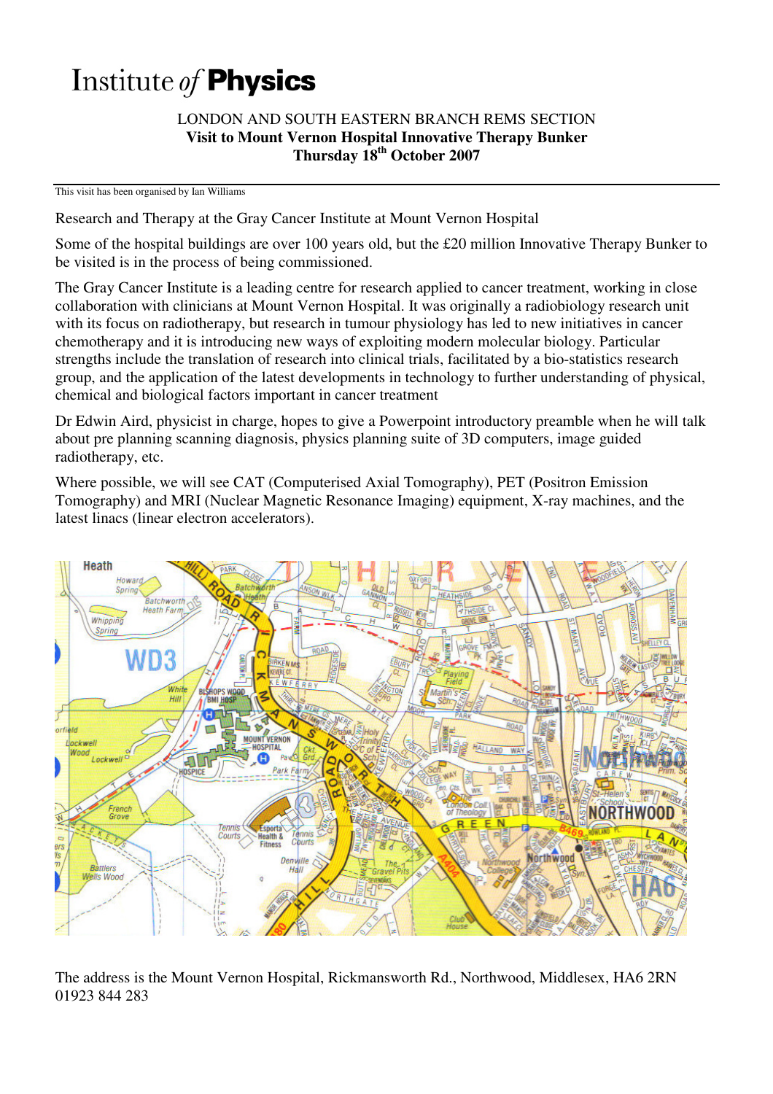# Institute of Physics

#### LONDON AND SOUTH EASTERN BRANCH REMS SECTION **Visit to Mount Vernon Hospital Innovative Therapy Bunker Thursday 18th October 2007**

This visit has been organised by Ian Williams

Research and Therapy at the Gray Cancer Institute at Mount Vernon Hospital

Some of the hospital buildings are over 100 years old, but the £20 million Innovative Therapy Bunker to be visited is in the process of being commissioned.

The Gray Cancer Institute is a leading centre for research applied to cancer treatment, working in close collaboration with clinicians at Mount Vernon Hospital. It was originally a radiobiology research unit with its focus on radiotherapy, but research in tumour physiology has led to new initiatives in cancer chemotherapy and it is introducing new ways of exploiting modern molecular biology. Particular strengths include the translation of research into clinical trials, facilitated by a bio-statistics research group, and the application of the latest developments in technology to further understanding of physical, chemical and biological factors important in cancer treatment

Dr Edwin Aird, physicist in charge, hopes to give a Powerpoint introductory preamble when he will talk about pre planning scanning diagnosis, physics planning suite of 3D computers, image guided radiotherapy, etc.

Where possible, we will see CAT (Computerised Axial Tomography), PET (Positron Emission Tomography) and MRI (Nuclear Magnetic Resonance Imaging) equipment, X-ray machines, and the latest linacs (linear electron accelerators).



The address is the Mount Vernon Hospital, Rickmansworth Rd., Northwood, Middlesex, HA6 2RN 01923 844 283